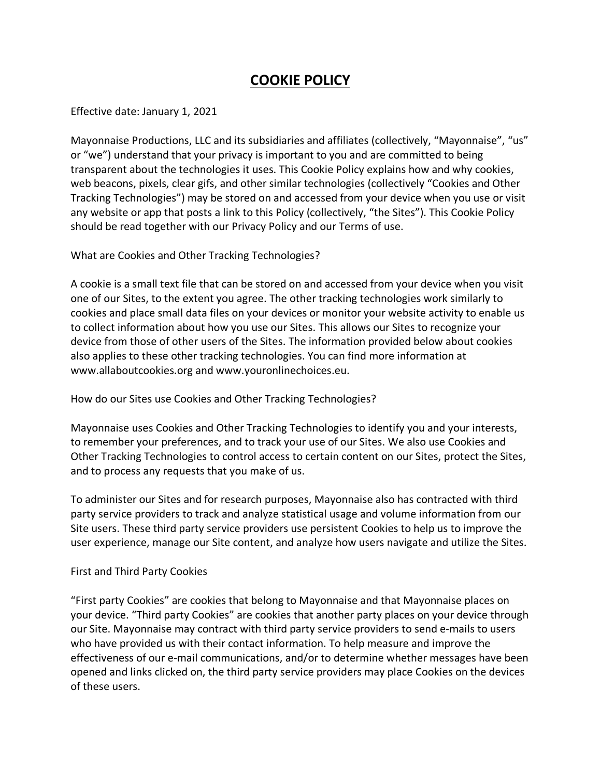# **COOKIE POLICY**

## Effective date: January 1, 2021

Mayonnaise Productions, LLC and its subsidiaries and affiliates (collectively, "Mayonnaise", "us" or "we") understand that your privacy is important to you and are committed to being transparent about the technologies it uses. This Cookie Policy explains how and why cookies, web beacons, pixels, clear gifs, and other similar technologies (collectively "Cookies and Other Tracking Technologies") may be stored on and accessed from your device when you use or visit any website or app that posts a link to this Policy (collectively, "the Sites"). This Cookie Policy should be read together with our Privacy Policy and our Terms of use.

## What are Cookies and Other Tracking Technologies?

A cookie is a small text file that can be stored on and accessed from your device when you visit one of our Sites, to the extent you agree. The other tracking technologies work similarly to cookies and place small data files on your devices or monitor your website activity to enable us to collect information about how you use our Sites. This allows our Sites to recognize your device from those of other users of the Sites. The information provided below about cookies also applies to these other tracking technologies. You can find more information at www.allaboutcookies.org and www.youronlinechoices.eu.

# How do our Sites use Cookies and Other Tracking Technologies?

Mayonnaise uses Cookies and Other Tracking Technologies to identify you and your interests, to remember your preferences, and to track your use of our Sites. We also use Cookies and Other Tracking Technologies to control access to certain content on our Sites, protect the Sites, and to process any requests that you make of us.

To administer our Sites and for research purposes, Mayonnaise also has contracted with third party service providers to track and analyze statistical usage and volume information from our Site users. These third party service providers use persistent Cookies to help us to improve the user experience, manage our Site content, and analyze how users navigate and utilize the Sites.

### First and Third Party Cookies

"First party Cookies" are cookies that belong to Mayonnaise and that Mayonnaise places on your device. "Third party Cookies" are cookies that another party places on your device through our Site. Mayonnaise may contract with third party service providers to send e-mails to users who have provided us with their contact information. To help measure and improve the effectiveness of our e-mail communications, and/or to determine whether messages have been opened and links clicked on, the third party service providers may place Cookies on the devices of these users.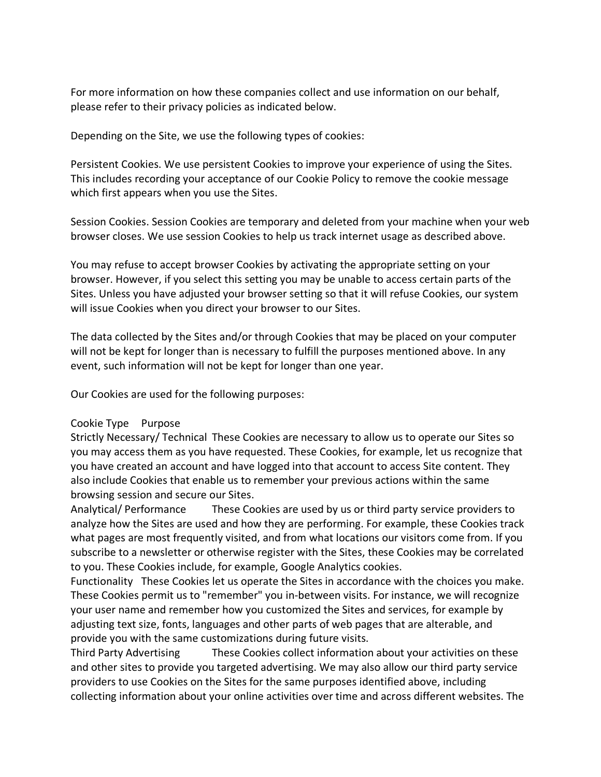For more information on how these companies collect and use information on our behalf, please refer to their privacy policies as indicated below.

Depending on the Site, we use the following types of cookies:

Persistent Cookies. We use persistent Cookies to improve your experience of using the Sites. This includes recording your acceptance of our Cookie Policy to remove the cookie message which first appears when you use the Sites.

Session Cookies. Session Cookies are temporary and deleted from your machine when your web browser closes. We use session Cookies to help us track internet usage as described above.

You may refuse to accept browser Cookies by activating the appropriate setting on your browser. However, if you select this setting you may be unable to access certain parts of the Sites. Unless you have adjusted your browser setting so that it will refuse Cookies, our system will issue Cookies when you direct your browser to our Sites.

The data collected by the Sites and/or through Cookies that may be placed on your computer will not be kept for longer than is necessary to fulfill the purposes mentioned above. In any event, such information will not be kept for longer than one year.

Our Cookies are used for the following purposes:

### Cookie Type Purpose

Strictly Necessary/ Technical These Cookies are necessary to allow us to operate our Sites so you may access them as you have requested. These Cookies, for example, let us recognize that you have created an account and have logged into that account to access Site content. They also include Cookies that enable us to remember your previous actions within the same browsing session and secure our Sites.

Analytical/ Performance These Cookies are used by us or third party service providers to analyze how the Sites are used and how they are performing. For example, these Cookies track what pages are most frequently visited, and from what locations our visitors come from. If you subscribe to a newsletter or otherwise register with the Sites, these Cookies may be correlated to you. These Cookies include, for example, Google Analytics cookies.

Functionality These Cookies let us operate the Sites in accordance with the choices you make. These Cookies permit us to "remember" you in-between visits. For instance, we will recognize your user name and remember how you customized the Sites and services, for example by adjusting text size, fonts, languages and other parts of web pages that are alterable, and provide you with the same customizations during future visits.

Third Party Advertising These Cookies collect information about your activities on these and other sites to provide you targeted advertising. We may also allow our third party service providers to use Cookies on the Sites for the same purposes identified above, including collecting information about your online activities over time and across different websites. The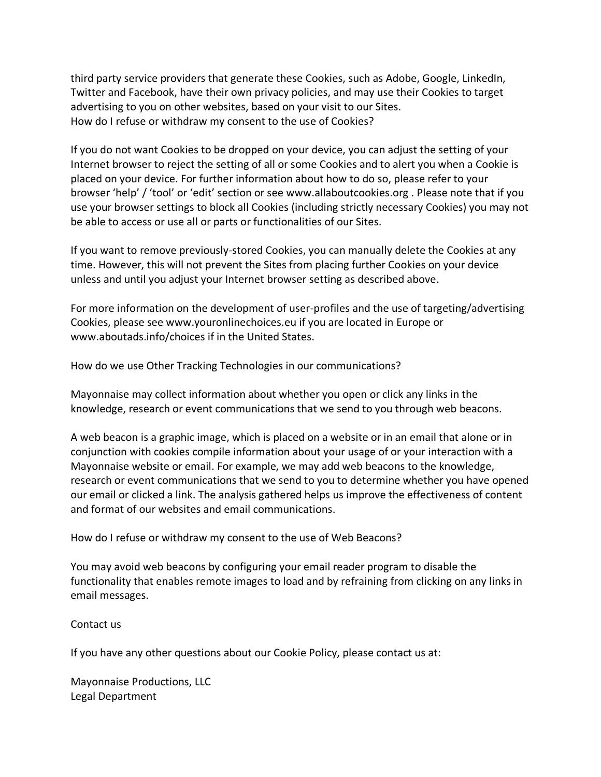third party service providers that generate these Cookies, such as Adobe, Google, LinkedIn, Twitter and Facebook, have their own privacy policies, and may use their Cookies to target advertising to you on other websites, based on your visit to our Sites. How do I refuse or withdraw my consent to the use of Cookies?

If you do not want Cookies to be dropped on your device, you can adjust the setting of your Internet browser to reject the setting of all or some Cookies and to alert you when a Cookie is placed on your device. For further information about how to do so, please refer to your browser 'help' / 'tool' or 'edit' section or see www.allaboutcookies.org . Please note that if you use your browser settings to block all Cookies (including strictly necessary Cookies) you may not be able to access or use all or parts or functionalities of our Sites.

If you want to remove previously-stored Cookies, you can manually delete the Cookies at any time. However, this will not prevent the Sites from placing further Cookies on your device unless and until you adjust your Internet browser setting as described above.

For more information on the development of user-profiles and the use of targeting/advertising Cookies, please see www.youronlinechoices.eu if you are located in Europe or www.aboutads.info/choices if in the United States.

How do we use Other Tracking Technologies in our communications?

Mayonnaise may collect information about whether you open or click any links in the knowledge, research or event communications that we send to you through web beacons.

A web beacon is a graphic image, which is placed on a website or in an email that alone or in conjunction with cookies compile information about your usage of or your interaction with a Mayonnaise website or email. For example, we may add web beacons to the knowledge, research or event communications that we send to you to determine whether you have opened our email or clicked a link. The analysis gathered helps us improve the effectiveness of content and format of our websites and email communications.

How do I refuse or withdraw my consent to the use of Web Beacons?

You may avoid web beacons by configuring your email reader program to disable the functionality that enables remote images to load and by refraining from clicking on any links in email messages.

Contact us

If you have any other questions about our Cookie Policy, please contact us at:

Mayonnaise Productions, LLC Legal Department